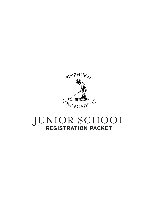

# JUNIOR SCHOOL **REGISTRATION PACKET**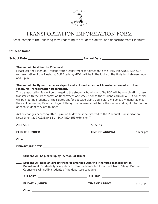

# TRANSPORTATION INFORMATION FORM

Please complete the following form regarding the student's arrival and departure from Pinehurst.

**Student Name**

**School Date Arrival Date**

|                                                     | Student will need an airport transfer arranged with the Pinehurst Transportation<br><b>Department.</b> Students typically depart from the Manor Inn for a flight from Raleigh-Durham.<br>Counselors will notify students of the departure schedule.                                                                        |
|-----------------------------------------------------|----------------------------------------------------------------------------------------------------------------------------------------------------------------------------------------------------------------------------------------------------------------------------------------------------------------------------|
| ___ Student will be picked up by (person) at (time) |                                                                                                                                                                                                                                                                                                                            |
|                                                     |                                                                                                                                                                                                                                                                                                                            |
|                                                     |                                                                                                                                                                                                                                                                                                                            |
|                                                     |                                                                                                                                                                                                                                                                                                                            |
|                                                     | Airline changes occurring after 5 p.m. on Friday must be directed to the Pinehurst Transportation<br>Department at 910.235.8465 or 800.487.4653 extension 7.                                                                                                                                                               |
| of each student they are to meet.                   | they will be wearing Pinehurst logo clothing. The counselors will have the names and flight information                                                                                                                                                                                                                    |
|                                                     | The transportation fee will be charged to the student's hotel room. The PGA will be coordinating these<br>transfers with the Transportation Department one week prior to the student's arrival. A PGA counselor<br>will be meeting students at their gates and/or baggage claim. Counselors will be easily identifiable as |
| <b>Pinehurst Transportation Department.</b>         | Student will be flying to an area airport and will need an airport transfer arranged with the                                                                                                                                                                                                                              |
| and $5$ p.m.                                        |                                                                                                                                                                                                                                                                                                                            |
|                                                     | representative of the Pinehurst Golf Academy (PGA) will be in the lobby of the Holly Inn between noon                                                                                                                                                                                                                      |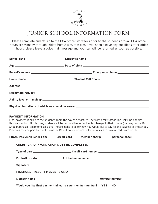

# JUNIOR SCHOOL INFORMATION FORM

Please complete and return to the PGA office two weeks prior to the student's arrival. PGA office hours are Monday through Friday from 8 a.m. to 5 p.m. If you should have any questions after office hours, please leave a voice mail message and your call will be returned as soon as possible.

| Physical limitations of which we should be aware ________________________________ |
|-----------------------------------------------------------------------------------|

### **PAYMENT INFORMATION**

Final payment is billed to the student's room the day of departure. The front desk staff at The Holly Inn handles this transaction. At this time, students will be responsible for incidental charges to their rooms (halfway house, Pro Shop purchases, telephone calls, etc.) Please indicate below how you would like to pay for the balance of the school. Balances may be paid by check, however, Resort policy requires all hotel guests to have a credit card on file.

| FINAL PAYMENT (check one) _____ credit card _____ member charge _____ personal check |  |
|--------------------------------------------------------------------------------------|--|
| <b>CREDIT CARD INFORMATION MUST BE COMPLETED</b>                                     |  |
|                                                                                      |  |
|                                                                                      |  |
|                                                                                      |  |
| <b>PINEHURST RESORT MEMBERS ONLY:</b>                                                |  |
|                                                                                      |  |
| Would you like final payment billed to your member number? YES NO                    |  |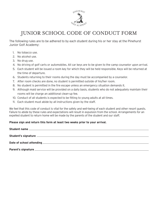

# JUNIOR SCHOOL CODE OF CONDUCT FORM

The following rules are to be adhered to by each student during his or her stay at the Pinehurst Junior Golf Academy:

- 1. No tobacco use.
- 2. No alcohol use.
- 3. No drug use.
- 4. No driving of golf carts or automobiles. All car keys are to be given to the camp counselor upon arrival.
- 5. Each student will be issued a room key for which they will be held responsible. Keys will be returned at the time of departure.
- 6. Students returning to their rooms during the day must be accompanied by a counselor.
- 7. After room checks are done, no student is permitted outside of his/her room.
- 8. No student is permitted in the fire escape unless an emergency situation demands it.
- 9. Although maid service will be provided on a daily basis, students who do not adequately maintain their rooms will be charge an additional clean-up fee.
- 10. Conduct of all students is expected to be fitting to young adults at all times.
- 11. Each student must abide by all instructions given by the staff.

We feel that this code of conduct is vital for the safety and well-being of each student and other resort guests. Failure to abide by these rules and expectations will result in expulsion from the school. Arrangements for an expelled student to return home will be made by the parents of the student and our staff.

### **Please sign and return this form at least two weeks prior to your arrival.**

| Student name |
|--------------|
|              |
|              |
|              |
|              |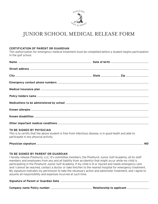

## JUNIOR SCHOOL MEDICAL RELEASE FORM

#### **CERTIFICATION OF PARENT OR GUARDIAN**

This authorization for emergency medical treatment must be completed before a student begins participation in the golf school.

#### **TO BE SIGNED BY PHYSICIAN**

This is to certify that the above student is free from infectious disease, is in good heath and able to participate in any physical activity.

| Physician signature | <b>MD</b> |
|---------------------|-----------|
|                     |           |

#### **TO BE SIGNED BY PARENT OR GUARDIAN**

I hereby release Pinehurst, LLC, it's committee members, the Pinehurst Junior Golf Academy, all its staff members and employees from any and all liability from accident(s) that might occur while my child is participating in the Pinehurst Junior Golf Academy. If my child is ill or injured and needs emergency care and I cannot be reached, contact a doctor or take him/her to the nearest hospital for emergency treatment. My signature indicates my permission to take the necessary action and administer treatment, and I agree to assume all responsibility and expenses incurred at such time.

#### **Signature of Parent or Guardian Date**

**Company name Policy number Relationship to applicant**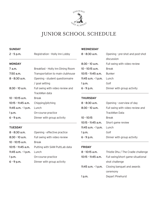

# JUNIOR SCHOOL SCHEDULE

#### **SUNDAY**

| $2 - 5$ p.m.          | Registration - Holly Inn Lobby    |
|-----------------------|-----------------------------------|
| <b>MONDAY</b>         |                                   |
| 7 a.m.                | Breakfast - Holly Inn Dining Room |
| 7:50 a.m.             | Transportation to main clubhouse  |
| 8 - 8:30 a.m.         | Opening - student questionnaire   |
|                       | / goal setting                    |
| 8:30 - 10 a.m.        | Full swing with video review and  |
|                       | TrackMan data                     |
| $10 - 10:15$ a.m.     | <b>Break</b>                      |
| 10:15 - 11:45 a.m.    | Chipping/pitching                 |
| 11:45 $a.m. - 1 p.m.$ | Lunch                             |
| 1 p.m.                | On-course practice                |
| 6 - 9 p.m.            | Dinner with group activity        |

#### **TUESDAY**

8 - 8:30 a.m. Opening - effective practice 8:30 - 10 a.m. Full swing with video review 10 - 10:15 a.m. Break 10:15 - 11:45 a.m. Putting with SAM PuttLab data 11:45 a.m. - 1 p.m. Lunch 1 p.m. **On-course practice** 6 - 9 p.m. Dinner with group activity

#### **WEDNESDAY**

| $8 - 8:30$ a.m.       | Opening - pre-shot and post-shot |
|-----------------------|----------------------------------|
|                       | discussion                       |
| $8:30 - 10$ a.m.      | Full swing with video review     |
| $10 - 10:15$ a.m.     | <b>Break</b>                     |
| $10:15 - 11:45$ a.m.  | <b>Bunker</b>                    |
| 11:45 $a.m. - 1 p.m.$ | Lunch                            |
| 1 p.m.                | Golf                             |
| $6 - 9$ p.m.          | Dinner with group activity       |
|                       |                                  |

#### **THURSDAY**

| 8 - 8:30 a.m.       | Opening - overview of day        |
|---------------------|----------------------------------|
| $8:30 - 10$ a.m.    | Full swing with video review and |
|                     | TrackMan Data                    |
| 10 - 10:15          | Break                            |
| 10:15 - 11:45 a.m.  | Short game review                |
| 11:45 a.m. - 1 p.m. | Lunch                            |
| 1 p.m.              | Golf                             |
| $6 - 9$ p.m.        | Dinner with group activity       |
|                     |                                  |

#### **FRIDAY**

| 8 - 10:15 a.m.      | Thistle Dhu / The Cradle challenge |
|---------------------|------------------------------------|
| 10:15 - 11:45 a.m.  | Full swing/short game situational  |
|                     | shot challenge                     |
| 11:45 a.m. - 1 p.m. | Closing banquet and awards         |
|                     | ceremony                           |
| 1 p.m.              | Depart Pinehurst                   |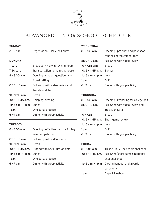

# ADVANCED JUNIOR SCHOOL SCHEDULE

#### **SUNDAY**

2 - 5 p.m. Registration - Holly Inn Lobby

#### **MONDAY**

| 7 a.m.                                     | Breakfast - Holly Inn Dining Room |
|--------------------------------------------|-----------------------------------|
| $7:50$ a.m.                                | Transportation to main clubhouse  |
| $8 - 8:30$ a.m.                            | Opening - student questionnaire   |
|                                            | / goal setting                    |
| $8:30 - 10$ a.m.                           | Full swing with video review and  |
|                                            | TrackMan data                     |
| $10 - 10:15$ a.m.                          | <b>Break</b>                      |
| 10:15 $\cdot$ 11:45 a.m. Chipping/pitching |                                   |
| 11:45 $a.m. - 1 p.m.$ Lunch                |                                   |
| 1 p.m.                                     | On-course practice                |
| $6 - 9$ p.m.                               | Dinner with group activity        |
|                                            |                                   |

#### **TUESDAY**

| 8 - 8:30 a.m.             | Opening - effective practice for high            |
|---------------------------|--------------------------------------------------|
|                           | level competition                                |
| $8:30 - 10$ a.m.          | Full swing with video review                     |
| $10 - 10:15$ a.m.         | <b>Break</b>                                     |
|                           | 10:15 - 11:45 a.m. Putting with SAM PuttLab data |
| 11:45 a.m. - 1 p.m. Lunch |                                                  |
| 1 p.m.                    | On-course practice                               |
| $6 - 9$ p.m.              | Dinner with group activity                       |

### **WEDNESDAY**

| $8 - 8:30$ a.m.             | Opening - pre-shot and post-shot |  |
|-----------------------------|----------------------------------|--|
|                             | routines of top competitors      |  |
| $8:30 - 10$ a.m.            | Full swing with video review     |  |
| $10 - 10:15$ a.m.           | <b>Break</b>                     |  |
| $10:15 - 11:45$ a.m.        | <b>Bunker</b>                    |  |
| 11:45 $a.m. - 1 p.m.$ Lunch |                                  |  |
| 1 p.m.                      | Golf                             |  |
| $6 - 9$ p.m.                | Dinner with group activity       |  |
|                             |                                  |  |

### **THURSDAY**

| 8 - 8:30 a.m.               | Opening - Preparing for college golf |  |
|-----------------------------|--------------------------------------|--|
| $8:30 - 10$ a.m.            | Full swing with video review and     |  |
|                             | TrackMan Data                        |  |
| $10 - 10:15$                | Break                                |  |
|                             | 10:15 - 11:45 a.m. Short game review |  |
| 11:45 $a.m. - 1 p.m.$ Lunch |                                      |  |
| 1 $p.m.$                    | Golf                                 |  |
| $6 - 9$ p.m.                | Dinner with group activity           |  |
|                             |                                      |  |

### **FRIDAY**

| 8 - 10:15 a.m. | Thistle Dhu / The Cradle challenge                   |  |
|----------------|------------------------------------------------------|--|
|                | 10:15 - 11:45 a.m. Full swing/short game situational |  |
|                | shot challenge                                       |  |
|                | 11:45 a.m. - 1 p.m. Closing banquet and awards       |  |
|                | ceremony                                             |  |
| 1 p.m.         | Depart Pinehurst                                     |  |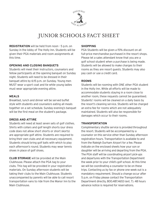

# JUNIOR SCHOOLS FACT SHEET

**REGISTRATION** will be held from noon - 5 p.m. on Sunday in the lobby of The Holly Inn. Students will be given their PGA materials and room assignments at this time.

### **OPENING AND CLOSING BANQUETS**

Students will meet their instructors, counselors and fellow participants at the opening banquet on Sunday night. Students will need to be dressed in their banquet attire by 6:15 p.m. on Sunday. Young men MUST wear a sport coat and tie while young ladies must wear appropriate evening attire.

### **MEALS**

Breakfast, lunch and dinner will be served buffet style with students and counselors eating all meals together on a set schedule. Sunday evening's banquet will be the first meal on the student's package.

### **DRESS AND ATTIRE**

Students will need at least seven sets of golf clothes. Shirts with collars and golf length shorts (our dress code does not allow short shorts or short skorts) are appropriate golf attire. Students are required to bring their own clubs and all necessary equipment. Students should bring golf balls with which to play each afternoon's round. Students may wear tennis shoes in place of golf shoes.

**CLUB STORAGE** will be provided at the Main Clubhouse. Please attach the PGA tag to your clubs. This tag will be provided in your registration materials. On Sunday afternoon students will be taking their clubs to the Main Clubhouse. Students unaccompanied by parents will be able to call resort transportation vans to ride from the Manor Inn to the Main Clubhouse.

#### **SHOPPING**

PGA Students will be given a 15% discount on all full-price merchandise purchased in the resort shops. Please let a sales attendant know that you are a golf school student when a purchase is being made. Students will be allowed to make charges to their rooms as they are resort guests. Students may also pay cash or use a credit card.

### **ROOMS**

Students will be rooming with ONE other PGA student in the Holly Inn. While all efforts will be made to accommodate students staying in a room close to another room, these requests cannot be guaranteed. Students' rooms will be cleaned on a daily basis by the resort's cleaning service. Students will be charged an extra fee for rooms which are not adequately maintained. Students will also be responsible for damages which occur to their rooms.

### **TRANSPORTATION**

Complimentary shuttle service is provided throughout the resort. Students will be accompanied by a counselor on this service other than Sunday afternoon registration hours. Transportation is available to and from the Raleigh Durham Airport for a fee. Please indicate on the enclosed sheets how your son or daughter will be arriving and departing from the PGA. The PGA staff will be coordinating airport pick-ups and departures with the Transportation Department the week prior to your child's golf school. At this time we will be coordinating a counselor to be on these trips. Contacting us by fax or phone one week out is a mandatory requirement. Should a change occur after 5 p.m. on Friday please contact the Transportation Department directly, 800.487.4653 (ext. 7). 48 hours advance notice is required for reservations.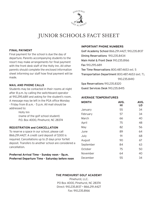

# JUNIOR SCHOOLS FACT SHEET

### **FINAL PAYMENT**

Final payment for the school is due the day of departure. Parents accompanying students to the resort may make arrangements for final payment with the front desk staff of the Holly Inn. All other parents should complete the enclosed information sheet informing our staff how final payment will be made.

### **MAIL AND PHONE CALLS**

Students may be contacted in their rooms at night after 8 p.m. by calling the switchboard operator at 910.295.6811 and asking for the student's room. A message may be left in the PGA office Monday - Friday from 8 a.m. - 5 p.m. All mail should be addressed to:

> Holly Inn (name of the golf school student) P.O. Box 4000, Pinehurst, NC 28374

### **REGISTRATION and CANCELLATION**

To reserve a space in our school, please call 866.291.4427. A credit card deposit of \$300 is required. Cancellations up to 21 days prior forfeit deposit. Transfers to another school are considered a cancellation.

**Preferred Arrival Time - Sunday noon - 5p.m. Preferred Departure Time - Saturday before noon** 

#### **IMPORTANT PHONE NUMBERS**

Golf Academy School 866.291.4427, 910.235.8137 Dining Reservations 910.235.8434 Main Hotel & Front Desk 910.235.8166 Fax 910.295.6811 Tee Time Reservations 800.487.4653 ext. 5 Transportation Department 800.487.4653 (ext. 7), 910.235.8410 Spa Reservations 910.235.8320

Guest Services Desk 910.235.8415

#### **AVERAGE TEMPERATURES**

| AVG.<br>HI | AVG.<br>LO |
|------------|------------|
| 55         | 34         |
| 57         | 34         |
| 66         | 40         |
| 75         | 48         |
| 82         | 56         |
| 89         | 64         |
| 91         | 68         |
| 90         | 67         |
| 84         | 63         |
| 75         | 50         |
| 64         | 40         |
| 55         | 34         |
|            |            |

### **THE PINEHURST GOLF ACADEMY**

Pinehurst, LLC. PO Box 4000, Pinehurst, NC 28374 Direct: 910.235.8137 • 866.291.4427 Fax: 910.235.8166